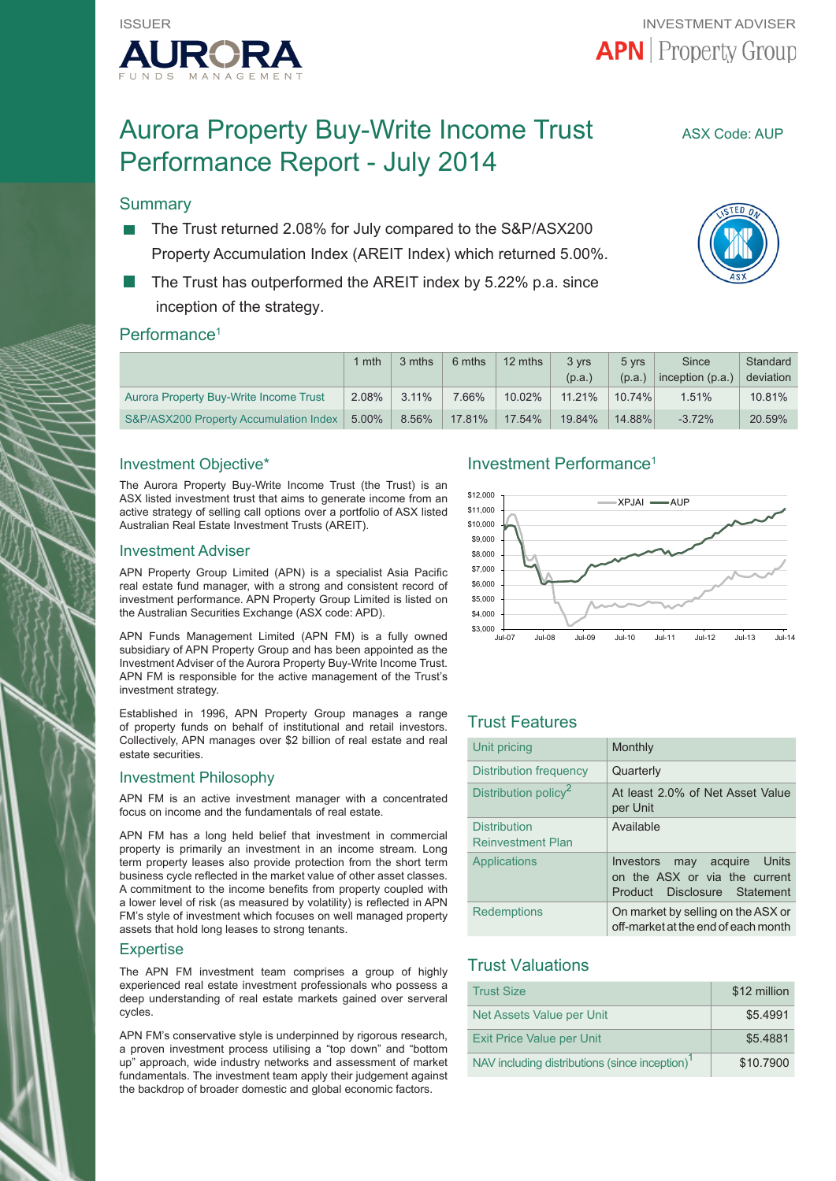

# Aurora Property Buy-Write Income Trust ASX Code: AUP Performance Report - July 2014

## **Summary**

- The Trust returned 2.08% for July compared to the S&P/ASX200 Property Accumulation Index (AREIT Index) which returned 5.00%.
- The Trust has outperformed the AREIT index by 5.22% p.a. since inception of the strategy.

## Performance<sup>1</sup>

|                                        | $1$ mth  | 3 mths   | 6 mths | 12 mths   | 3 vrs  | 5 yrs     | <b>Since</b>       | Standard  |
|----------------------------------------|----------|----------|--------|-----------|--------|-----------|--------------------|-----------|
|                                        |          |          |        |           | (p.a.) | (p.a.)    | inception $(p.a.)$ | deviation |
| Aurora Property Buy-Write Income Trust | 2.08%    | $3.11\%$ | 7.66%  | $10.02\%$ | 11.21% | $10.74\%$ | 1.51%              | $10.81\%$ |
| S&P/ASX200 Property Accumulation Index | $5.00\%$ | 8.56%    | 17.81% | 17.54%    | 19.84% | 14.88%    | $-3.72%$           | 20.59%    |

## Investment Objective\*

The Aurora Property Buy-Write Income Trust (the Trust) is an ASX listed investment trust that aims to generate income from an active strategy of selling call options over a portfolio of ASX listed Australian Real Estate Investment Trusts (AREIT).

#### Investment Adviser

APN Property Group Limited (APN) is a specialist Asia Pacific real estate fund manager, with a strong and consistent record of investment performance. APN Property Group Limited is listed on the Australian Securities Exchange (ASX code: APD).

APN Funds Management Limited (APN FM) is a fully owned subsidiary of APN Property Group and has been appointed as the Investment Adviser of the Aurora Property Buy-Write Income Trust. APN FM is responsible for the active management of the Trust's investment strategy.

Established in 1996, APN Property Group manages a range of property funds on behalf of institutional and retail investors. Collectively, APN manages over \$2 billion of real estate and real estate securities.

#### Investment Philosophy

APN FM is an active investment manager with a concentrated focus on income and the fundamentals of real estate.

APN FM has a long held belief that investment in commercial property is primarily an investment in an income stream. Long term property leases also provide protection from the short term business cycle reflected in the market value of other asset classes. A commitment to the income benefits from property coupled with a lower level of risk (as measured by volatility) is reflected in APN FM's style of investment which focuses on well managed property assets that hold long leases to strong tenants.

#### **Expertise**

The APN FM investment team comprises a group of highly experienced real estate investment professionals who possess a deep understanding of real estate markets gained over serveral cycles.

APN FM's conservative style is underpinned by rigorous research, a proven investment process utilising a "top down" and "bottom up" approach, wide industry networks and assessment of market fundamentals. The investment team apply their judgement against the backdrop of broader domestic and global economic factors.

## Investment Performance1



## Trust Features

| Unit pricing                                    | Monthly                                                                                         |
|-------------------------------------------------|-------------------------------------------------------------------------------------------------|
| Distribution frequency                          | Quarterly                                                                                       |
| Distribution policy <sup>2</sup>                | At least 2.0% of Net Asset Value<br>per Unit                                                    |
| <b>Distribution</b><br><b>Reinvestment Plan</b> | Available                                                                                       |
| Applications                                    | Investors<br>may acquire Units<br>on the ASX or via the current<br>Product Disclosure Statement |
| <b>Redemptions</b>                              | On market by selling on the ASX or<br>off-market at the end of each month                       |

## Trust Valuations

| <b>Trust Size</b>                                          | \$12 million |
|------------------------------------------------------------|--------------|
| Net Assets Value per Unit                                  | \$5.4991     |
| <b>Exit Price Value per Unit</b>                           | \$5.4881     |
| NAV including distributions (since inception) <sup>1</sup> | \$10,7900    |